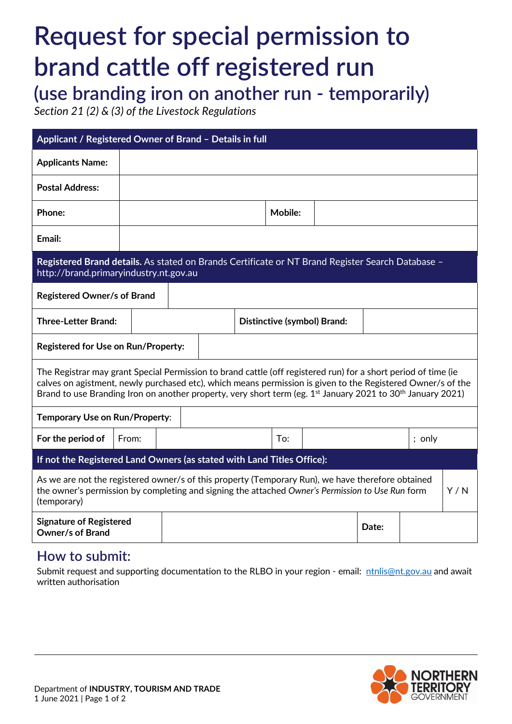# **Request for special permission to brand cattle off registered run**

**(use branding iron on another run - temporarily)**

*Section 21 (2) & (3) of the Livestock Regulations*

| Applicant / Registered Owner of Brand - Details in full                                                                                                                                                                                                                                                                                                              |       |  |                             |  |     |                |  |  |       |          |  |  |
|----------------------------------------------------------------------------------------------------------------------------------------------------------------------------------------------------------------------------------------------------------------------------------------------------------------------------------------------------------------------|-------|--|-----------------------------|--|-----|----------------|--|--|-------|----------|--|--|
| <b>Applicants Name:</b>                                                                                                                                                                                                                                                                                                                                              |       |  |                             |  |     |                |  |  |       |          |  |  |
| <b>Postal Address:</b>                                                                                                                                                                                                                                                                                                                                               |       |  |                             |  |     |                |  |  |       |          |  |  |
| Phone:                                                                                                                                                                                                                                                                                                                                                               |       |  |                             |  |     | <b>Mobile:</b> |  |  |       |          |  |  |
| Email:                                                                                                                                                                                                                                                                                                                                                               |       |  |                             |  |     |                |  |  |       |          |  |  |
| Registered Brand details. As stated on Brands Certificate or NT Brand Register Search Database -<br>http://brand.primaryindustry.nt.gov.au                                                                                                                                                                                                                           |       |  |                             |  |     |                |  |  |       |          |  |  |
| <b>Registered Owner/s of Brand</b>                                                                                                                                                                                                                                                                                                                                   |       |  |                             |  |     |                |  |  |       |          |  |  |
| <b>Three-Letter Brand:</b>                                                                                                                                                                                                                                                                                                                                           |       |  | Distinctive (symbol) Brand: |  |     |                |  |  |       |          |  |  |
| Registered for Use on Run/Property:                                                                                                                                                                                                                                                                                                                                  |       |  |                             |  |     |                |  |  |       |          |  |  |
| The Registrar may grant Special Permission to brand cattle (off registered run) for a short period of time (ie<br>calves on agistment, newly purchased etc), which means permission is given to the Registered Owner/s of the<br>Brand to use Branding Iron on another property, very short term (eg. 1 <sup>st</sup> January 2021 to 30 <sup>th</sup> January 2021) |       |  |                             |  |     |                |  |  |       |          |  |  |
| Temporary Use on Run/Property:                                                                                                                                                                                                                                                                                                                                       |       |  |                             |  |     |                |  |  |       |          |  |  |
| For the period of                                                                                                                                                                                                                                                                                                                                                    | From: |  |                             |  | To: |                |  |  |       | $;$ only |  |  |
| If not the Registered Land Owners (as stated with Land Titles Office):                                                                                                                                                                                                                                                                                               |       |  |                             |  |     |                |  |  |       |          |  |  |
| As we are not the registered owner/s of this property (Temporary Run), we have therefore obtained<br>Y/N<br>the owner's permission by completing and signing the attached Owner's Permission to Use Run form<br>(temporary)                                                                                                                                          |       |  |                             |  |     |                |  |  |       |          |  |  |
| <b>Signature of Registered</b><br><b>Owner/s of Brand</b>                                                                                                                                                                                                                                                                                                            |       |  |                             |  |     |                |  |  | Date: |          |  |  |

# **How to submit:**

Submit request and supporting documentation to the RLBO in your region - email: [ntnlis@nt.gov.au](mailto:ntnlis@nt.gov.au) and await written authorisation